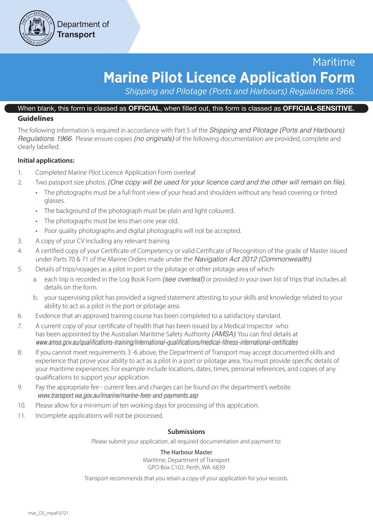

# Maritime **Marine Pilot Licence Application Form**

*Shipping and Pilotage (Ports and Harbours) Regulations 1966.*

# When blank, this form is classed as OFFICIAL, when filled out, this form is classed as OFFICIAL-SENSITIVE.

## **Guidelines**

The following information is required in accordance with Part 5 of the *Shipping and Pilotage (Ports and Harbours) Regulations 1966*. Please ensure copies *(no originals)* of the following documentation are provided, complete and clearly labelled.

## **Initial applications:**

- 1. Completed Marine Pilot Licence Application Form overleaf
- 2. Two passport size photos. *(One copy will be used for your licence card and the other will remain on file).*
	- The photographs must be a full front view of your head and shoulders without any head covering or tinted glasses.
	- The background of the photograph must be plain and light coloured.
	- The photographs must be less than one year old.
	- Poor quality photographs and digital photographs will not be accepted.
- 3. A copy of your CV including any relevant training
- 4. A certified copy of your Certificate of Competency or valid Certificate of Recognition of the grade of Master issued under Parts 70 & 71 of the Marine Orders made under the *Navigation Act 2012 (Commonwealth)*.
- 5. Details of trips/voyages as a pilot in port or the pilotage or other pilotage area of which:
	- a. each trip is recorded in the Log Book Form *(see overleaf)* or provided in your own list of trips that includes all details on the form.
	- b. your supervising pilot has provided a signed statement attesting to your skills and knowledge related to your ability to act as a pilot in the port or pilotage area.
- 6. Evidence that an approved training course has been completed to a satisfactory standard.
- 7. A current copy of your certificate of health that has been issued by a Medical Inspector who has been appointed by the Australian Maritime Safety Authority *(AMSA)*. You can find details at *www.amsa.gov.au/qualifications-training/international-qualifications/medical-fitness-international-certificates*
- 8. If you cannot meet requirements 3 -6 above, the Department of Transport may accept documented skills and experience that prove your ability to act as a pilot in a port or pilotage area. You must provide specific details of your maritime experiences. For example include locations, dates, times, personal references, and copies of any qualifications to support your application.
- 9. Pay the appropriate fee current fees and charges can be found on the department's website *www.transport.wa.gov.au/imarine/marine-fees-and-payments.asp*
- 10. Please allow for a minimum of ten working days for processing of this application.
- 11. Incomplete applications will not be processed.

#### **Submissions**

Please submit your application, all required documentation and payment to:

#### The Harbour Master

Maritime, Department of Transport GPO Box C102. Perth, WA. 6839

Transport recommends that you retain a copy of your application for your records.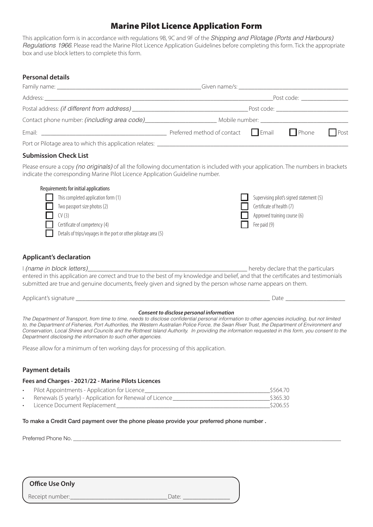# Marine Pilot Licence Application Form

This application form is in accordance with regulations 9B, 9C and 9F of the *Shipping and Pilotage (Ports and Harbours) Regulations 1966*. Please read the Marine Pilot Licence Application Guidelines before completing this form. Tick the appropriate box and use block letters to complete this form.

#### **Personal details**

| Post code: and a series of the series of the series of the series of the series of the series of the series of the series of the series of the series of the series of the series of the series of the series of the series of |  |  |              |  |  |
|--------------------------------------------------------------------------------------------------------------------------------------------------------------------------------------------------------------------------------|--|--|--------------|--|--|
| Post code: ___________________                                                                                                                                                                                                 |  |  |              |  |  |
| _Mobile number: ___________________________                                                                                                                                                                                    |  |  |              |  |  |
| Preferred method of contact $\Box$ Email $\Box$ Phone                                                                                                                                                                          |  |  | $\vert$ Post |  |  |
|                                                                                                                                                                                                                                |  |  |              |  |  |

#### **Submission Check List**

Please ensure a copy *(no originals)* of all the following documentation is included with your application. The numbers in brackets indicate the corresponding Marine Pilot Licence Application Guideline number.

| Requirements for initial applications                           |                                          |
|-----------------------------------------------------------------|------------------------------------------|
| This completed application form (1)                             | Supervising pilot's signed statement (5) |
| Two passport size photos (2)                                    | Certificate of health (7)                |
| CV (3)                                                          | Approved training course (6)             |
| Certificate of competency (4)                                   | Fee paid (9)                             |
| Details of trips/voyages in the port or other pilotage area (5) |                                          |

#### **Applicant's declaration**

I (name in block letters) and the second of the second of the particulars of the particulars of the particulars entered in this application are correct and true to the best of my knowledge and belief, and that the certificates and testimonials submitted are true and genuine documents, freely given and signed by the person whose name appears on them.

Applicant's signature extending the state of the state of the state of the state of the state of the state of the state of the state of the state of the state of the state of the state of the state of the state of the stat

#### *Consent to disclose personal information*

*The Department of Transport, from time to time, needs to disclose confidential personal information to other agencies including, but not limited to, the Department of Fisheries, Port Authorities, the Western Australian Police Force, the Swan River Trust, the Department of Environment and Conservation, Local Shires and Councils and the Rottnest Island Authority. In providing the information requested in this form, you consent to the Department disclosing the information to such other agencies.*

Please allow for a minimum of ten working days for processing of this application.

#### **Payment details**

#### **Fees and Charges - 2021/22 - Marine Pilots Licences**

| Pilot Appointments - Application for Licence             | \$564.70 |
|----------------------------------------------------------|----------|
| Renewals (5 yearly) - Application for Renewal of Licence | \$365.30 |
| Licence Document Replacement                             | \$206.55 |

#### To make a Credit Card payment over the phone please provide your preferred phone number .

Preferred Phone No. \_\_\_\_\_\_\_\_\_\_\_\_\_\_\_\_\_\_\_\_\_\_\_\_\_\_\_\_\_\_\_\_\_\_\_\_\_\_\_\_\_\_\_\_\_\_\_\_\_\_\_\_\_\_\_\_\_\_\_\_\_\_\_\_\_\_\_\_\_\_\_\_\_\_\_\_\_\_\_\_\_\_\_\_\_\_\_\_\_\_\_\_\_\_\_

### **Office Use Only**

Receipt number:\_\_\_\_\_\_\_\_\_\_\_\_\_\_\_\_\_\_\_\_\_\_\_\_\_\_\_\_\_\_\_Date: \_\_\_\_\_\_\_\_\_\_\_\_\_\_\_